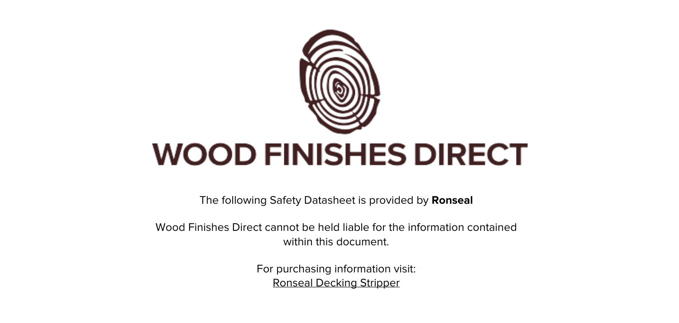

The following Safety Datasheet is provided by **Ronseal**

Wood Finishes Direct cannot be held liable for the information contained within this document.

> For purchasing information visit: [Ronseal Decking Stripper](https://www.wood-finishes-direct.com/product/ronseal-decking-stripper)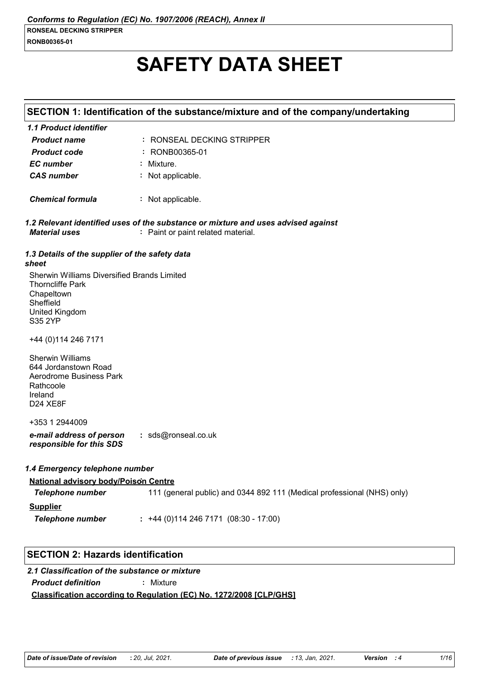# **SAFETY DATA SHEET**

|                                                                                                                                       | SECTION 1: Identification of the substance/mixture and of the company/undertaking                                       |
|---------------------------------------------------------------------------------------------------------------------------------------|-------------------------------------------------------------------------------------------------------------------------|
| 1.1 Product identifier                                                                                                                |                                                                                                                         |
| <b>Product name</b>                                                                                                                   | : RONSEAL DECKING STRIPPER                                                                                              |
| <b>Product code</b>                                                                                                                   | : RONB00365-01                                                                                                          |
| <b>EC</b> number                                                                                                                      | : Mixture.                                                                                                              |
| <b>CAS number</b>                                                                                                                     | : Not applicable.                                                                                                       |
| <b>Chemical formula</b>                                                                                                               | : Not applicable.                                                                                                       |
| <b>Material uses</b>                                                                                                                  | 1.2 Relevant identified uses of the substance or mixture and uses advised against<br>: Paint or paint related material. |
| 1.3 Details of the supplier of the safety data<br>sheet                                                                               |                                                                                                                         |
| Sherwin Williams Diversified Brands Limited<br><b>Thorncliffe Park</b><br>Chapeltown<br>Sheffield<br><b>United Kingdom</b><br>S35 2YP |                                                                                                                         |
| +44 (0) 114 246 7171                                                                                                                  |                                                                                                                         |
| <b>Sherwin Williams</b><br>644 Jordanstown Road<br>Aerodrome Business Park<br>Rathcoole<br>Ireland<br>D24 XE8F                        |                                                                                                                         |
| +353 1 2944009                                                                                                                        |                                                                                                                         |
| e-mail address of person<br>responsible for this SDS                                                                                  | : sds@ronseal.co.uk                                                                                                     |
| 1.4 Emergency telephone number                                                                                                        |                                                                                                                         |
| <b>National advisory body/Poison Centre</b>                                                                                           |                                                                                                                         |
| <b>Telephone number</b>                                                                                                               | 111 (general public) and 0344 892 111 (Medical professional (NHS) only)                                                 |
| <b>Supplier</b>                                                                                                                       |                                                                                                                         |
| <b>Telephone number</b>                                                                                                               | $: +44(0)1142467171(08:30 - 17:00)$                                                                                     |
|                                                                                                                                       |                                                                                                                         |

# **SECTION 2: Hazards identification**

# **Classification according to Regulation (EC) No. 1272/2008 [CLP/GHS]** *2.1 Classification of the substance or mixture Product definition* **:** Mixture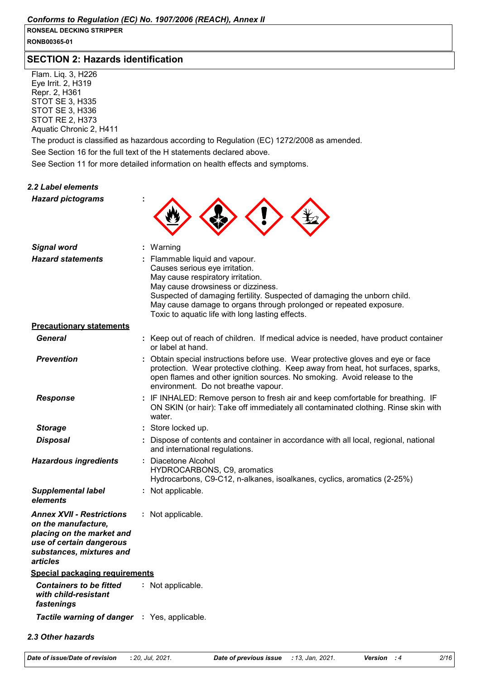**RONB00365-01**

# **SECTION 2: Hazards identification**

Flam. Liq. 3, H226 Eye Irrit. 2, H319 Repr. 2, H361 STOT SE 3, H335 STOT SE 3, H336 STOT RE 2, H373 Aquatic Chronic 2, H411

The product is classified as hazardous according to Regulation (EC) 1272/2008 as amended.

See Section 16 for the full text of the H statements declared above.

See Section 11 for more detailed information on health effects and symptoms.

| 2.2 Label elements                                                                                                                                       |                                                                                                                                                                                                                                                                                                                                                   |
|----------------------------------------------------------------------------------------------------------------------------------------------------------|---------------------------------------------------------------------------------------------------------------------------------------------------------------------------------------------------------------------------------------------------------------------------------------------------------------------------------------------------|
| <b>Hazard pictograms</b>                                                                                                                                 |                                                                                                                                                                                                                                                                                                                                                   |
|                                                                                                                                                          |                                                                                                                                                                                                                                                                                                                                                   |
| <b>Signal word</b>                                                                                                                                       | : Warning                                                                                                                                                                                                                                                                                                                                         |
| <b>Hazard statements</b>                                                                                                                                 | : Flammable liquid and vapour.<br>Causes serious eye irritation.<br>May cause respiratory irritation.<br>May cause drowsiness or dizziness.<br>Suspected of damaging fertility. Suspected of damaging the unborn child.<br>May cause damage to organs through prolonged or repeated exposure.<br>Toxic to aquatic life with long lasting effects. |
| <b>Precautionary statements</b>                                                                                                                          |                                                                                                                                                                                                                                                                                                                                                   |
| <b>General</b>                                                                                                                                           | : Keep out of reach of children. If medical advice is needed, have product container<br>or label at hand.                                                                                                                                                                                                                                         |
| <b>Prevention</b>                                                                                                                                        | : Obtain special instructions before use. Wear protective gloves and eye or face<br>protection. Wear protective clothing. Keep away from heat, hot surfaces, sparks,<br>open flames and other ignition sources. No smoking. Avoid release to the<br>environment. Do not breathe vapour.                                                           |
| <b>Response</b>                                                                                                                                          | : IF INHALED: Remove person to fresh air and keep comfortable for breathing. IF<br>ON SKIN (or hair): Take off immediately all contaminated clothing. Rinse skin with<br>water.                                                                                                                                                                   |
| <b>Storage</b>                                                                                                                                           | : Store locked up.                                                                                                                                                                                                                                                                                                                                |
| <b>Disposal</b>                                                                                                                                          | : Dispose of contents and container in accordance with all local, regional, national<br>and international regulations.                                                                                                                                                                                                                            |
| <b>Hazardous ingredients</b>                                                                                                                             | : Diacetone Alcohol<br>HYDROCARBONS, C9, aromatics<br>Hydrocarbons, C9-C12, n-alkanes, isoalkanes, cyclics, aromatics (2-25%)                                                                                                                                                                                                                     |
| <b>Supplemental label</b><br>elements                                                                                                                    | : Not applicable.                                                                                                                                                                                                                                                                                                                                 |
| <b>Annex XVII - Restrictions</b><br>on the manufacture,<br>placing on the market and<br>use of certain dangerous<br>substances, mixtures and<br>articles | : Not applicable.                                                                                                                                                                                                                                                                                                                                 |
| <b>Special packaging requirements</b>                                                                                                                    |                                                                                                                                                                                                                                                                                                                                                   |
| <b>Containers to be fitted</b><br>with child-resistant<br>fastenings                                                                                     | : Not applicable.                                                                                                                                                                                                                                                                                                                                 |
| Tactile warning of danger : Yes, applicable.                                                                                                             |                                                                                                                                                                                                                                                                                                                                                   |

#### *2.3 Other hazards*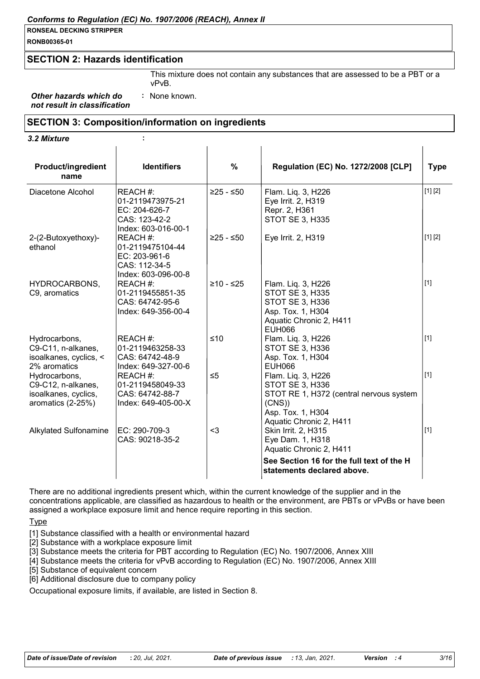#### *Conforms to Regulation (EC) No. 1907/2006 (REACH), Annex II*

# **RONSEAL DECKING STRIPPER**

**RONB00365-01**

# **SECTION 2: Hazards identification**

This mixture does not contain any substances that are assessed to be a PBT or a vPvB.

*Other hazards which do not result in classification* **:** None known.

### **SECTION 3: Composition/information on ingredients**

#### *3.2 Mixture* **:**

| <b>Product/ingredient</b><br>name                                                | <b>Identifiers</b>                                                                    | %           | <b>Regulation (EC) No. 1272/2008 [CLP]</b>                                                                                                       | <b>Type</b> |
|----------------------------------------------------------------------------------|---------------------------------------------------------------------------------------|-------------|--------------------------------------------------------------------------------------------------------------------------------------------------|-------------|
| Diacetone Alcohol                                                                | REACH #:<br>01-2119473975-21<br>EC: 204-626-7<br>CAS: 123-42-2<br>Index: 603-016-00-1 | $≥25 - ≤50$ | Flam. Liq. 3, H226<br>Eye Irrit. 2, H319<br>Repr. 2, H361<br><b>STOT SE 3, H335</b>                                                              | [1] [2]     |
| 2-(2-Butoxyethoxy)-<br>ethanol                                                   | REACH #:<br>01-2119475104-44<br>EC: 203-961-6<br>CAS: 112-34-5<br>Index: 603-096-00-8 | $≥25 - ≤50$ | Eye Irrit. 2, H319                                                                                                                               | [1] [2]     |
| HYDROCARBONS,<br>C9, aromatics                                                   | REACH #:<br>01-2119455851-35<br>CAS: 64742-95-6<br>Index: 649-356-00-4                | $≥10 - ≤25$ | Flam. Liq. 3, H226<br><b>STOT SE 3, H335</b><br><b>STOT SE 3, H336</b><br>Asp. Tox. 1, H304<br>Aquatic Chronic 2, H411<br><b>EUH066</b>          | $[1]$       |
| Hydrocarbons,<br>C9-C11, n-alkanes,<br>isoalkanes, cyclics, <<br>2% aromatics    | REACH #:<br>01-2119463258-33<br>CAS: 64742-48-9<br>Index: 649-327-00-6                | $≤10$       | Flam. Liq. 3, H226<br><b>STOT SE 3, H336</b><br>Asp. Tox. 1, H304<br><b>EUH066</b>                                                               | $[1]$       |
| Hydrocarbons,<br>C9-C12, n-alkanes,<br>isoalkanes, cyclics,<br>aromatics (2-25%) | REACH #:<br>01-2119458049-33<br>CAS: 64742-88-7<br>Index: 649-405-00-X                | $\leq 5$    | Flam. Liq. 3, H226<br><b>STOT SE 3, H336</b><br>STOT RE 1, H372 (central nervous system<br>(CNS)<br>Asp. Tox. 1, H304<br>Aquatic Chronic 2, H411 | [1]         |
| Alkylated Sulfonamine                                                            | EC: 290-709-3<br>CAS: 90218-35-2                                                      | $3$         | Skin Irrit. 2, H315<br>Eye Dam. 1, H318<br>Aquatic Chronic 2, H411<br>See Section 16 for the full text of the H<br>statements declared above.    | $[1]$       |

There are no additional ingredients present which, within the current knowledge of the supplier and in the concentrations applicable, are classified as hazardous to health or the environment, are PBTs or vPvBs or have been assigned a workplace exposure limit and hence require reporting in this section.

Type

[1] Substance classified with a health or environmental hazard

[2] Substance with a workplace exposure limit

[3] Substance meets the criteria for PBT according to Regulation (EC) No. 1907/2006, Annex XIII

[4] Substance meets the criteria for vPvB according to Regulation (EC) No. 1907/2006, Annex XIII

[5] Substance of equivalent concern

[6] Additional disclosure due to company policy

Occupational exposure limits, if available, are listed in Section 8.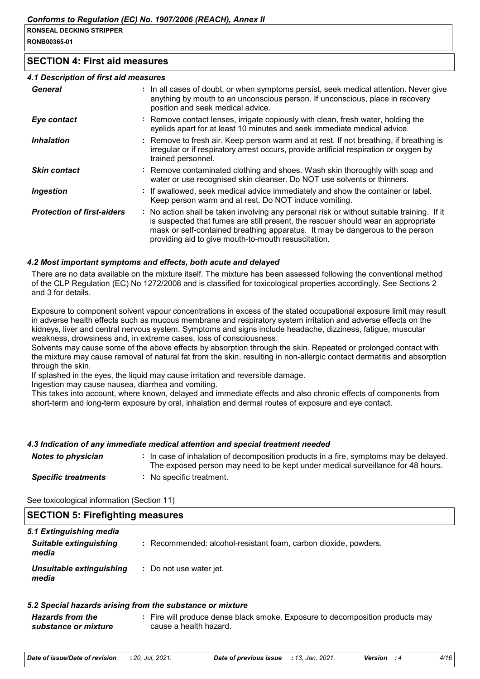**RONB00365-01**

# **SECTION 4: First aid measures**

#### *4.1 Description of first aid measures*

| General                           | : In all cases of doubt, or when symptoms persist, seek medical attention. Never give<br>anything by mouth to an unconscious person. If unconscious, place in recovery<br>position and seek medical advice.                                                                                                             |
|-----------------------------------|-------------------------------------------------------------------------------------------------------------------------------------------------------------------------------------------------------------------------------------------------------------------------------------------------------------------------|
| Eye contact                       | : Remove contact lenses, irrigate copiously with clean, fresh water, holding the<br>eyelids apart for at least 10 minutes and seek immediate medical advice.                                                                                                                                                            |
| <b>Inhalation</b>                 | : Remove to fresh air. Keep person warm and at rest. If not breathing, if breathing is<br>irregular or if respiratory arrest occurs, provide artificial respiration or oxygen by<br>trained personnel.                                                                                                                  |
| <b>Skin contact</b>               | : Remove contaminated clothing and shoes. Wash skin thoroughly with soap and<br>water or use recognised skin cleanser. Do NOT use solvents or thinners.                                                                                                                                                                 |
| Ingestion                         | : If swallowed, seek medical advice immediately and show the container or label.<br>Keep person warm and at rest. Do NOT induce vomiting.                                                                                                                                                                               |
| <b>Protection of first-aiders</b> | : No action shall be taken involving any personal risk or without suitable training. If it<br>is suspected that fumes are still present, the rescuer should wear an appropriate<br>mask or self-contained breathing apparatus. It may be dangerous to the person<br>providing aid to give mouth-to-mouth resuscitation. |

### *4.2 Most important symptoms and effects, both acute and delayed*

There are no data available on the mixture itself. The mixture has been assessed following the conventional method of the CLP Regulation (EC) No 1272/2008 and is classified for toxicological properties accordingly. See Sections 2 and 3 for details.

Exposure to component solvent vapour concentrations in excess of the stated occupational exposure limit may result in adverse health effects such as mucous membrane and respiratory system irritation and adverse effects on the kidneys, liver and central nervous system. Symptoms and signs include headache, dizziness, fatigue, muscular weakness, drowsiness and, in extreme cases, loss of consciousness.

Solvents may cause some of the above effects by absorption through the skin. Repeated or prolonged contact with the mixture may cause removal of natural fat from the skin, resulting in non-allergic contact dermatitis and absorption through the skin.

If splashed in the eyes, the liquid may cause irritation and reversible damage.

Ingestion may cause nausea, diarrhea and vomiting.

This takes into account, where known, delayed and immediate effects and also chronic effects of components from short-term and long-term exposure by oral, inhalation and dermal routes of exposure and eye contact.

### *4.3 Indication of any immediate medical attention and special treatment needed*

| <b>Notes to physician</b>  | : In case of inhalation of decomposition products in a fire, symptoms may be delayed.<br>The exposed person may need to be kept under medical surveillance for 48 hours. |
|----------------------------|--------------------------------------------------------------------------------------------------------------------------------------------------------------------------|
| <b>Specific treatments</b> | : No specific treatment.                                                                                                                                                 |

See toxicological information (Section 11)

| <b>SECTION 5: Firefighting measures</b> |                                                                 |  |
|-----------------------------------------|-----------------------------------------------------------------|--|
| 5.1 Extinguishing media                 |                                                                 |  |
| <b>Suitable extinguishing</b><br>media  | : Recommended: alcohol-resistant foam, carbon dioxide, powders. |  |
| Unsuitable extinguishing<br>media       | : Do not use water jet.                                         |  |

### *5.2 Special hazards arising from the substance or mixture*

*Hazards from the substance or mixture* **:** Fire will produce dense black smoke. Exposure to decomposition products may cause a health hazard.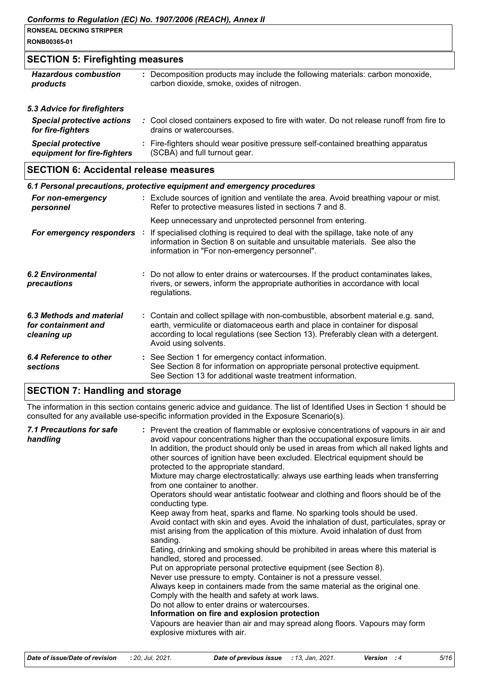**RONB00365-01**

# **SECTION 5: Firefighting measures**

| <b>Hazardous combustion</b>                                                           | : Decomposition products may include the following materials: carbon monoxide,                                     |
|---------------------------------------------------------------------------------------|--------------------------------------------------------------------------------------------------------------------|
| products                                                                              | carbon dioxide, smoke, oxides of nitrogen.                                                                         |
| 5.3 Advice for firefighters<br><b>Special protective actions</b><br>for fire-fighters | : Cool closed containers exposed to fire with water. Do not release runoff from fire to<br>drains or watercourses. |
| <b>Special protective</b>                                                             | : Fire-fighters should wear positive pressure self-contained breathing apparatus                                   |
| equipment for fire-fighters                                                           | (SCBA) and full turnout gear.                                                                                      |

# **SECTION 6: Accidental release measures**

|                                                                | 6.1 Personal precautions, protective equipment and emergency procedures                                                                                                                                                                                                            |
|----------------------------------------------------------------|------------------------------------------------------------------------------------------------------------------------------------------------------------------------------------------------------------------------------------------------------------------------------------|
| For non-emergency<br>personnel                                 | : Exclude sources of ignition and ventilate the area. Avoid breathing vapour or mist.<br>Refer to protective measures listed in sections 7 and 8.                                                                                                                                  |
| For emergency responders :                                     | Keep unnecessary and unprotected personnel from entering.<br>If specialised clothing is required to deal with the spillage, take note of any<br>information in Section 8 on suitable and unsuitable materials. See also the<br>information in "For non-emergency personnel".       |
| 6.2 Environmental<br>precautions                               | : Do not allow to enter drains or watercourses. If the product contaminates lakes,<br>rivers, or sewers, inform the appropriate authorities in accordance with local<br>regulations.                                                                                               |
| 6.3 Methods and material<br>for containment and<br>cleaning up | : Contain and collect spillage with non-combustible, absorbent material e.g. sand,<br>earth, vermiculite or diatomaceous earth and place in container for disposal<br>according to local regulations (see Section 13). Preferably clean with a detergent.<br>Avoid using solvents. |
| 6.4 Reference to other<br><b>sections</b>                      | : See Section 1 for emergency contact information.<br>See Section 8 for information on appropriate personal protective equipment.<br>See Section 13 for additional waste treatment information.                                                                                    |

# **SECTION 7: Handling and storage**

The information in this section contains generic advice and guidance. The list of Identified Uses in Section 1 should be consulted for any available use-specific information provided in the Exposure Scenario(s).

| avoid vapour concentrations higher than the occupational exposure limits.<br>handling<br>In addition, the product should only be used in areas from which all naked lights and<br>other sources of ignition have been excluded. Electrical equipment should be<br>protected to the appropriate standard.<br>Mixture may charge electrostatically: always use earthing leads when transferring<br>from one container to another.<br>Operators should wear antistatic footwear and clothing and floors should be of the<br>conducting type.<br>Keep away from heat, sparks and flame. No sparking tools should be used.<br>Avoid contact with skin and eyes. Avoid the inhalation of dust, particulates, spray or<br>mist arising from the application of this mixture. Avoid inhalation of dust from<br>sanding.<br>Eating, drinking and smoking should be prohibited in areas where this material is<br>handled, stored and processed.<br>Put on appropriate personal protective equipment (see Section 8).<br>Never use pressure to empty. Container is not a pressure vessel.<br>Always keep in containers made from the same material as the original one.<br>Comply with the health and safety at work laws.<br>Do not allow to enter drains or watercourses.<br>Information on fire and explosion protection<br>Vapours are heavier than air and may spread along floors. Vapours may form<br>explosive mixtures with air. |  | : Prevent the creation of flammable or explosive concentrations of vapours in air and |
|---------------------------------------------------------------------------------------------------------------------------------------------------------------------------------------------------------------------------------------------------------------------------------------------------------------------------------------------------------------------------------------------------------------------------------------------------------------------------------------------------------------------------------------------------------------------------------------------------------------------------------------------------------------------------------------------------------------------------------------------------------------------------------------------------------------------------------------------------------------------------------------------------------------------------------------------------------------------------------------------------------------------------------------------------------------------------------------------------------------------------------------------------------------------------------------------------------------------------------------------------------------------------------------------------------------------------------------------------------------------------------------------------------------------------------|--|---------------------------------------------------------------------------------------|
|---------------------------------------------------------------------------------------------------------------------------------------------------------------------------------------------------------------------------------------------------------------------------------------------------------------------------------------------------------------------------------------------------------------------------------------------------------------------------------------------------------------------------------------------------------------------------------------------------------------------------------------------------------------------------------------------------------------------------------------------------------------------------------------------------------------------------------------------------------------------------------------------------------------------------------------------------------------------------------------------------------------------------------------------------------------------------------------------------------------------------------------------------------------------------------------------------------------------------------------------------------------------------------------------------------------------------------------------------------------------------------------------------------------------------------|--|---------------------------------------------------------------------------------------|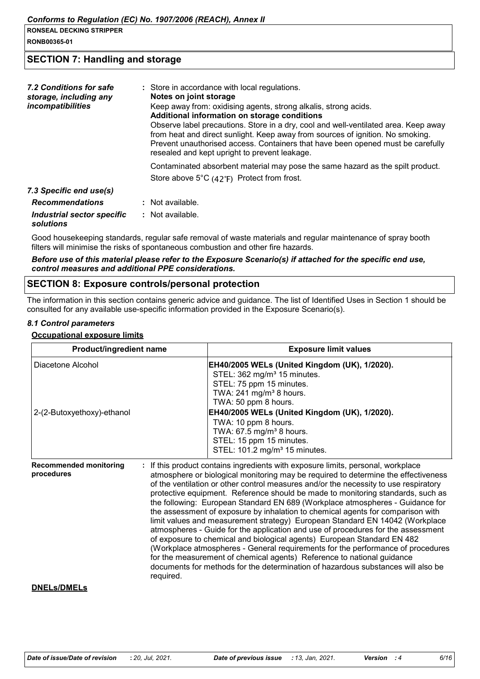**RONB00365-01**

# **SECTION 7: Handling and storage**

| 7.2 Conditions for safe<br>storage, including any<br><i>incompatibilities</i> | : Store in accordance with local regulations.<br>Notes on joint storage<br>Keep away from: oxidising agents, strong alkalis, strong acids.<br>Additional information on storage conditions<br>Observe label precautions. Store in a dry, cool and well-ventilated area. Keep away<br>from heat and direct sunlight. Keep away from sources of ignition. No smoking.<br>Prevent unauthorised access. Containers that have been opened must be carefully<br>resealed and kept upright to prevent leakage. |
|-------------------------------------------------------------------------------|---------------------------------------------------------------------------------------------------------------------------------------------------------------------------------------------------------------------------------------------------------------------------------------------------------------------------------------------------------------------------------------------------------------------------------------------------------------------------------------------------------|
|                                                                               | Contaminated absorbent material may pose the same hazard as the spilt product.<br>Store above $5^{\circ}C$ (42 $^{\circ}F$ ) Protect from frost.                                                                                                                                                                                                                                                                                                                                                        |
| 7.3 Specific end use(s)                                                       |                                                                                                                                                                                                                                                                                                                                                                                                                                                                                                         |
| <b>Recommendations</b>                                                        | $:$ Not available.                                                                                                                                                                                                                                                                                                                                                                                                                                                                                      |
| Industrial sector specific<br>solutions                                       | $:$ Not available.                                                                                                                                                                                                                                                                                                                                                                                                                                                                                      |

Good housekeeping standards, regular safe removal of waste materials and regular maintenance of spray booth filters will minimise the risks of spontaneous combustion and other fire hazards.

#### *Before use of this material please refer to the Exposure Scenario(s) if attached for the specific end use, control measures and additional PPE considerations.*

# **SECTION 8: Exposure controls/personal protection**

required.

The information in this section contains generic advice and guidance. The list of Identified Uses in Section 1 should be consulted for any available use-specific information provided in the Exposure Scenario(s).

#### *8.1 Control parameters*

#### **Occupational exposure limits**

| Product/ingredient name                     | <b>Exposure limit values</b>                                                                                                                                                                                                                                                                                                                                                                                                                                                                                                                                                                                                                                                                                                                                                                                                                                                                                                    |  |  |
|---------------------------------------------|---------------------------------------------------------------------------------------------------------------------------------------------------------------------------------------------------------------------------------------------------------------------------------------------------------------------------------------------------------------------------------------------------------------------------------------------------------------------------------------------------------------------------------------------------------------------------------------------------------------------------------------------------------------------------------------------------------------------------------------------------------------------------------------------------------------------------------------------------------------------------------------------------------------------------------|--|--|
| Diacetone Alcohol                           | EH40/2005 WELs (United Kingdom (UK), 1/2020).<br>STEL: 362 mg/m <sup>3</sup> 15 minutes.<br>STEL: 75 ppm 15 minutes.<br>TWA: $241$ mg/m <sup>3</sup> 8 hours.<br>TWA: 50 ppm 8 hours.                                                                                                                                                                                                                                                                                                                                                                                                                                                                                                                                                                                                                                                                                                                                           |  |  |
| 2-(2-Butoxyethoxy)-ethanol                  | EH40/2005 WELs (United Kingdom (UK), 1/2020).<br>TWA: 10 ppm 8 hours.<br>TWA: 67.5 mg/m <sup>3</sup> 8 hours.<br>STEL: 15 ppm 15 minutes.<br>STEL: 101.2 mg/m <sup>3</sup> 15 minutes.                                                                                                                                                                                                                                                                                                                                                                                                                                                                                                                                                                                                                                                                                                                                          |  |  |
| <b>Recommended monitoring</b><br>procedures | If this product contains ingredients with exposure limits, personal, workplace<br>atmosphere or biological monitoring may be required to determine the effectiveness<br>of the ventilation or other control measures and/or the necessity to use respiratory<br>protective equipment. Reference should be made to monitoring standards, such as<br>the following: European Standard EN 689 (Workplace atmospheres - Guidance for<br>the assessment of exposure by inhalation to chemical agents for comparison with<br>limit values and measurement strategy) European Standard EN 14042 (Workplace<br>atmospheres - Guide for the application and use of procedures for the assessment<br>of exposure to chemical and biological agents) European Standard EN 482<br>(Workplace atmospheres - General requirements for the performance of procedures<br>for the measurement of chemical agents) Reference to national guidance |  |  |

#### **DNELs/DMELs**

documents for methods for the determination of hazardous substances will also be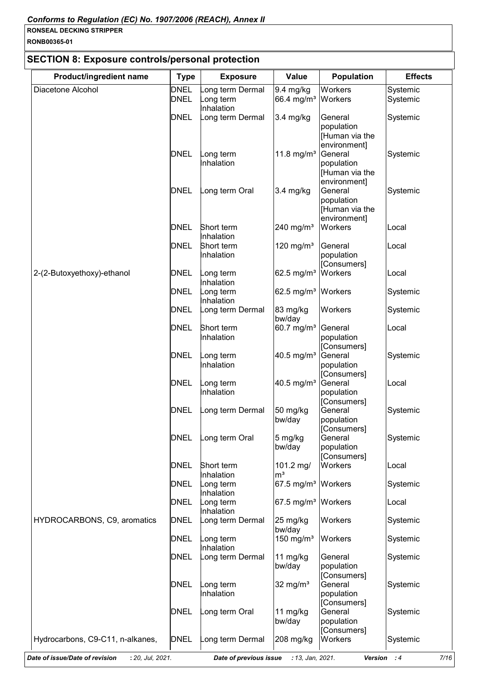**RONB00365-01**

# **SECTION 8: Exposure controls/personal protection**

| Product/ingredient name          | <b>Type</b>                | <b>Exposure</b>                          | Value                                       | <b>Population</b>                                                       | <b>Effects</b>       |
|----------------------------------|----------------------------|------------------------------------------|---------------------------------------------|-------------------------------------------------------------------------|----------------------|
| Diacetone Alcohol                | <b>DNEL</b><br><b>DNEL</b> | ong term Dermal<br>ong term<br>nhalation | 9.4 mg/kg<br>66.4 mg/m <sup>3</sup> Workers | Workers                                                                 | Systemic<br>Systemic |
|                                  | <b>DNEL</b>                | ong term Dermal                          | 3.4 mg/kg                                   | General<br>population<br>[Human via the<br>environment]                 | Systemic             |
|                                  | <b>DNEL</b>                | ong term<br>nhalation                    | 11.8 mg/m <sup>3</sup>                      | General<br>population<br>[Human via the                                 | Systemic             |
|                                  | <b>DNEL</b>                | ong term Oral                            | 3.4 mg/kg                                   | environment]<br>General<br>population<br>[Human via the<br>environment] | Systemic             |
|                                  | <b>DNEL</b>                | Short term<br>Inhalation                 | 240 mg/ $m3$                                | Workers                                                                 | Local                |
|                                  | <b>DNEL</b>                | Short term<br>Inhalation                 | 120 mg/ $m3$                                | General<br>population<br>[Consumers]                                    | Local                |
| 2-(2-Butoxyethoxy)-ethanol       | <b>DNEL</b>                | ong term<br>Inhalation                   | 62.5 mg/m <sup>3</sup> Workers              |                                                                         | Local                |
|                                  | <b>DNEL</b>                | ong term<br>nhalation                    | 62.5 mg/m <sup>3</sup> Workers              |                                                                         | Systemic             |
|                                  | <b>DNEL</b>                | ong term Dermal                          | 83 mg/kg<br>bw/day                          | Workers                                                                 | Systemic             |
|                                  | DNEL                       | Short term<br>Inhalation                 | 60.7 mg/m <sup>3</sup> General              | population<br>[Consumers]                                               | Local                |
|                                  | DNEL                       | ong term<br>Inhalation                   | 40.5 mg/ $m^3$                              | General<br>population<br>[Consumers]                                    | Systemic             |
|                                  | <b>DNEL</b>                | ong term<br>nhalation                    | 40.5 mg/m <sup>3</sup>                      | General<br>population<br>[Consumers]                                    | Local                |
|                                  | <b>DNEL</b>                | ong term Dermal                          | $50$ mg/kg<br>bw/day                        | General<br>population<br>[Consumers]                                    | Systemic             |
|                                  | <b>DNEL</b>                | ong term Oral                            | 5 mg/kg<br>bw/day                           | General<br>population                                                   | Systemic             |
|                                  | <b>DNEL</b>                | Short term<br>nhalation                  | 101.2 mg/<br>$\mathsf{m}^3$                 | [Consumers]<br>Workers                                                  | Local                |
|                                  | <b>DNEL</b>                | ong term<br>nhalation                    | 67.5 mg/m <sup>3</sup> Workers              |                                                                         | Systemic             |
|                                  | DNEL                       | ong term<br>nhalation                    | 67.5 mg/m <sup>3</sup> Workers              |                                                                         | Local                |
| HYDROCARBONS, C9, aromatics      | <b>DNEL</b>                | ong term Dermal                          | 25 mg/kg<br>bw/day                          | <b>Workers</b>                                                          | Systemic             |
|                                  | DNEL                       | ong term<br>nhalation                    | 150 mg/ $m3$                                | Workers                                                                 | Systemic             |
|                                  | <b>DNEL</b>                | ong term Dermal                          | 11 mg/kg<br>bw/day                          | General<br>population<br>[Consumers]                                    | Systemic             |
|                                  | DNEL                       | ong term<br>nhalation                    | $32 \text{ mg/m}^3$                         | General<br>population<br>[Consumers]                                    | Systemic             |
|                                  | <b>DNEL</b>                | ong term Oral                            | 11 mg/kg<br>bw/day                          | General<br>population<br>[Consumers]                                    | Systemic             |
| Hydrocarbons, C9-C11, n-alkanes, | <b>DNEL</b>                | ong term Dermal                          | 208 mg/kg                                   | Workers                                                                 | Systemic             |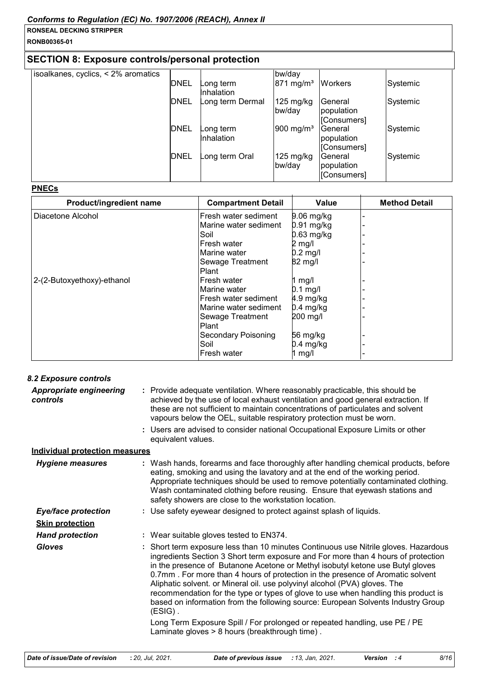**RONB00365-01**

# **SECTION 8: Exposure controls/personal protection**

| isoalkanes, cyclics, $\leq$ 2% aromatics |             |                         | bw/day                        |                                      |          |
|------------------------------------------|-------------|-------------------------|-------------------------------|--------------------------------------|----------|
|                                          | <b>DNEL</b> | ong term_<br>Inhalation | $871 \text{ mg/m}^3$          | <b>Workers</b>                       | Systemic |
|                                          | <b>DNEL</b> | Long term Dermal        | $125$ mg/kg<br>bw/day         | General<br>population<br>[Consumers] | Systemic |
|                                          | <b>DNEL</b> | ong term_<br>Inhalation | $ 900 \text{ mg/m}^3$         | General<br>population<br>[Consumers] | Systemic |
|                                          | <b>DNEL</b> | ong term Oral           | $125 \text{ mg/kg}$<br>bw/day | General<br>population<br>[Consumers] | Systemic |

#### **PNECs**

| <b>Product/ingredient name</b> | <b>Compartment Detail</b>  | <b>Value</b> | <b>Method Detail</b> |
|--------------------------------|----------------------------|--------------|----------------------|
| Diacetone Alcohol              | Fresh water sediment       | $9.06$ mg/kg |                      |
|                                | Marine water sediment      | $0.91$ mg/kg |                      |
|                                | Soil                       | $0.63$ mg/kg |                      |
|                                | Fresh water                | 2 mg/l       |                      |
|                                | Marine water               | $0.2$ mg/l   |                      |
|                                | <b>Sewage Treatment</b>    | 82 mg/l      |                      |
|                                | Plant                      |              |                      |
| 2-(2-Butoxyethoxy)-ethanol     | lFresh water               | mg/l         |                      |
|                                | Marine water               | $0.1$ mg/l   |                      |
|                                | lFresh water sediment      | 4.9 mg/kg    |                      |
|                                | Marine water sediment      | $0.4$ mg/kg  |                      |
|                                | Sewage Treatment           | 200 mg/l     |                      |
|                                | Plant                      |              |                      |
|                                | <b>Secondary Poisoning</b> | 56 mg/kg     |                      |
|                                | Soil                       | $0.4$ mg/kg  |                      |
|                                | lFresh water               | mg/l         |                      |

| : Provide adequate ventilation. Where reasonably practicable, this should be<br>achieved by the use of local exhaust ventilation and good general extraction. If<br>these are not sufficient to maintain concentrations of particulates and solvent<br>vapours below the OEL, suitable respiratory protection must be worn.                                                                                                                                                                                                                                                                                                                                                                                                                      |
|--------------------------------------------------------------------------------------------------------------------------------------------------------------------------------------------------------------------------------------------------------------------------------------------------------------------------------------------------------------------------------------------------------------------------------------------------------------------------------------------------------------------------------------------------------------------------------------------------------------------------------------------------------------------------------------------------------------------------------------------------|
| : Users are advised to consider national Occupational Exposure Limits or other<br>equivalent values.                                                                                                                                                                                                                                                                                                                                                                                                                                                                                                                                                                                                                                             |
| <b>Individual protection measures</b>                                                                                                                                                                                                                                                                                                                                                                                                                                                                                                                                                                                                                                                                                                            |
| : Wash hands, forearms and face thoroughly after handling chemical products, before<br>eating, smoking and using the lavatory and at the end of the working period.<br>Appropriate techniques should be used to remove potentially contaminated clothing.<br>Wash contaminated clothing before reusing. Ensure that eyewash stations and<br>safety showers are close to the workstation location.                                                                                                                                                                                                                                                                                                                                                |
| : Use safety eyewear designed to protect against splash of liquids.                                                                                                                                                                                                                                                                                                                                                                                                                                                                                                                                                                                                                                                                              |
|                                                                                                                                                                                                                                                                                                                                                                                                                                                                                                                                                                                                                                                                                                                                                  |
| : Wear suitable gloves tested to EN374.                                                                                                                                                                                                                                                                                                                                                                                                                                                                                                                                                                                                                                                                                                          |
| Short term exposure less than 10 minutes Continuous use Nitrile gloves. Hazardous<br>ingredients Section 3 Short term exposure and For more than 4 hours of protection<br>in the presence of Butanone Acetone or Methyl isobutyl ketone use Butyl gloves<br>0.7mm. For more than 4 hours of protection in the presence of Aromatic solvent<br>Aliphatic solvent. or Mineral oil. use polyvinyl alcohol (PVA) gloves. The<br>recommendation for the type or types of glove to use when handling this product is<br>based on information from the following source: European Solvents Industry Group<br>$(ESIG)$ .<br>Long Term Exposure Spill / For prolonged or repeated handling, use PE / PE<br>Laminate gloves > 8 hours (breakthrough time). |
|                                                                                                                                                                                                                                                                                                                                                                                                                                                                                                                                                                                                                                                                                                                                                  |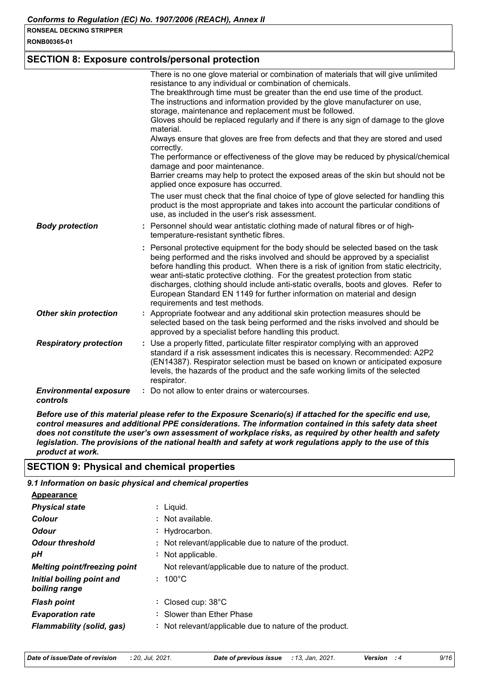**RONB00365-01**

# **SECTION 8: Exposure controls/personal protection**

|                                           | There is no one glove material or combination of materials that will give unlimited<br>resistance to any individual or combination of chemicals.<br>The breakthrough time must be greater than the end use time of the product.<br>The instructions and information provided by the glove manufacturer on use,<br>storage, maintenance and replacement must be followed.<br>Gloves should be replaced regularly and if there is any sign of damage to the glove<br>material.<br>Always ensure that gloves are free from defects and that they are stored and used<br>correctly.<br>The performance or effectiveness of the glove may be reduced by physical/chemical<br>damage and poor maintenance.<br>Barrier creams may help to protect the exposed areas of the skin but should not be<br>applied once exposure has occurred. |
|-------------------------------------------|-----------------------------------------------------------------------------------------------------------------------------------------------------------------------------------------------------------------------------------------------------------------------------------------------------------------------------------------------------------------------------------------------------------------------------------------------------------------------------------------------------------------------------------------------------------------------------------------------------------------------------------------------------------------------------------------------------------------------------------------------------------------------------------------------------------------------------------|
|                                           | The user must check that the final choice of type of glove selected for handling this<br>product is the most appropriate and takes into account the particular conditions of<br>use, as included in the user's risk assessment.                                                                                                                                                                                                                                                                                                                                                                                                                                                                                                                                                                                                   |
| <b>Body protection</b>                    | : Personnel should wear antistatic clothing made of natural fibres or of high-<br>temperature-resistant synthetic fibres.                                                                                                                                                                                                                                                                                                                                                                                                                                                                                                                                                                                                                                                                                                         |
|                                           | : Personal protective equipment for the body should be selected based on the task<br>being performed and the risks involved and should be approved by a specialist<br>before handling this product. When there is a risk of ignition from static electricity,<br>wear anti-static protective clothing. For the greatest protection from static<br>discharges, clothing should include anti-static overalls, boots and gloves. Refer to<br>European Standard EN 1149 for further information on material and design<br>requirements and test methods.                                                                                                                                                                                                                                                                              |
| <b>Other skin protection</b>              | : Appropriate footwear and any additional skin protection measures should be<br>selected based on the task being performed and the risks involved and should be<br>approved by a specialist before handling this product.                                                                                                                                                                                                                                                                                                                                                                                                                                                                                                                                                                                                         |
| <b>Respiratory protection</b>             | : Use a properly fitted, particulate filter respirator complying with an approved<br>standard if a risk assessment indicates this is necessary. Recommended: A2P2<br>(EN14387). Respirator selection must be based on known or anticipated exposure<br>levels, the hazards of the product and the safe working limits of the selected<br>respirator.                                                                                                                                                                                                                                                                                                                                                                                                                                                                              |
| <b>Environmental exposure</b><br>controls | : Do not allow to enter drains or watercourses.                                                                                                                                                                                                                                                                                                                                                                                                                                                                                                                                                                                                                                                                                                                                                                                   |

*Before use of this material please refer to the Exposure Scenario(s) if attached for the specific end use, control measures and additional PPE considerations. The information contained in this safety data sheet does not constitute the user's own assessment of workplace risks, as required by other health and safety legislation. The provisions of the national health and safety at work regulations apply to the use of this product at work.*

# **SECTION 9: Physical and chemical properties**

# *9.1 Information on basic physical and chemical properties*

| <b>Appearance</b>                          |                              |                                                         |
|--------------------------------------------|------------------------------|---------------------------------------------------------|
| <b>Physical state</b>                      | : Liguid.                    |                                                         |
| Colour                                     | : Not available.             |                                                         |
| <b>Odour</b>                               | : Hydrocarbon.               |                                                         |
| <b>Odour threshold</b>                     |                              | : Not relevant/applicable due to nature of the product. |
| рH                                         | : Not applicable.            |                                                         |
| <b>Melting point/freezing point</b>        |                              | Not relevant/applicable due to nature of the product.   |
| Initial boiling point and<br>boiling range | $: 100^{\circ}$ C            |                                                         |
| <b>Flash point</b>                         | : Closed cup: $38^{\circ}$ C |                                                         |
| <b>Evaporation rate</b>                    | : Slower than Ether Phase    |                                                         |
| <b>Flammability (solid, gas)</b>           |                              | : Not relevant/applicable due to nature of the product. |
|                                            |                              |                                                         |

| Date of issue/Date of revision | : 20. Jul. 2021. | <b>Date of previous issue</b> : 13, Jan, 2021. |  | <b>Version</b> : 4 | 9/16 |
|--------------------------------|------------------|------------------------------------------------|--|--------------------|------|
|--------------------------------|------------------|------------------------------------------------|--|--------------------|------|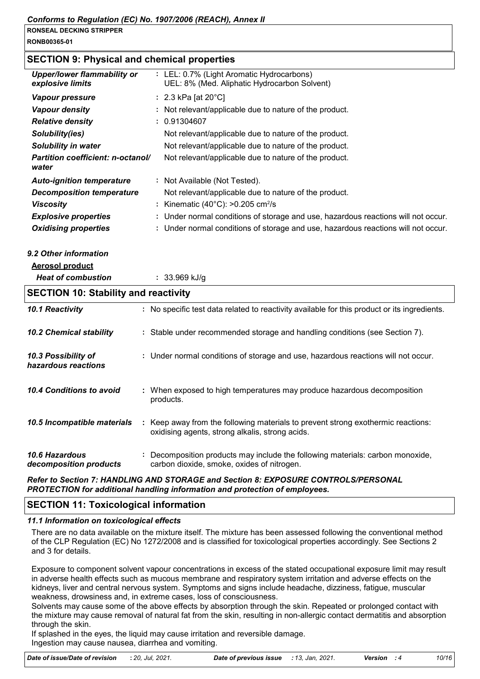**RONB00365-01**

# **SECTION 9: Physical and chemical properties**

| <b>Upper/lower flammability or</b><br>explosive limits | : LEL: 0.7% (Light Aromatic Hydrocarbons)<br>UEL: 8% (Med. Aliphatic Hydrocarbon Solvent) |
|--------------------------------------------------------|-------------------------------------------------------------------------------------------|
| Vapour pressure                                        | : 2.3 kPa [at $20^{\circ}$ C]                                                             |
| <b>Vapour density</b>                                  | : Not relevant/applicable due to nature of the product.                                   |
| <b>Relative density</b>                                | : 0.91304607                                                                              |
| Solubility(ies)                                        | Not relevant/applicable due to nature of the product.                                     |
| Solubility in water                                    | Not relevant/applicable due to nature of the product.                                     |
| <b>Partition coefficient: n-octanol/</b><br>water      | Not relevant/applicable due to nature of the product.                                     |
| <b>Auto-ignition temperature</b>                       | : Not Available (Not Tested).                                                             |
| <b>Decomposition temperature</b>                       | Not relevant/applicable due to nature of the product.                                     |
| <b>Viscosity</b>                                       | : Kinematic $(40^{\circ}$ C): $>0.205$ cm <sup>2</sup> /s                                 |
| <b>Explosive properties</b>                            | : Under normal conditions of storage and use, hazardous reactions will not occur.         |
| <b>Oxidising properties</b>                            | : Under normal conditions of storage and use, hazardous reactions will not occur.         |

*9.2 Other information*

| <b>Aerosol product</b> |  |
|------------------------|--|
|------------------------|--|

| <u>AGI UJUI PI UUUGL</u>                        |                                                                                                                                     |  |  |  |  |
|-------------------------------------------------|-------------------------------------------------------------------------------------------------------------------------------------|--|--|--|--|
| <b>Heat of combustion</b>                       | $: 33.969$ kJ/g                                                                                                                     |  |  |  |  |
| <b>SECTION 10: Stability and reactivity</b>     |                                                                                                                                     |  |  |  |  |
| 10.1 Reactivity                                 | : No specific test data related to reactivity available for this product or its ingredients.                                        |  |  |  |  |
| <b>10.2 Chemical stability</b>                  | : Stable under recommended storage and handling conditions (see Section 7).                                                         |  |  |  |  |
| 10.3 Possibility of<br>hazardous reactions      | : Under normal conditions of storage and use, hazardous reactions will not occur.                                                   |  |  |  |  |
| 10.4 Conditions to avoid                        | : When exposed to high temperatures may produce hazardous decomposition<br>products.                                                |  |  |  |  |
| 10.5 Incompatible materials                     | : Keep away from the following materials to prevent strong exothermic reactions:<br>oxidising agents, strong alkalis, strong acids. |  |  |  |  |
| <b>10.6 Hazardous</b><br>decomposition products | Decomposition products may include the following materials: carbon monoxide,<br>carbon dioxide, smoke, oxides of nitrogen.          |  |  |  |  |

# *Refer to Section 7: HANDLING AND STORAGE and Section 8: EXPOSURE CONTROLS/PERSONAL PROTECTION for additional handling information and protection of employees.*

# **SECTION 11: Toxicological information**

### *11.1 Information on toxicological effects*

There are no data available on the mixture itself. The mixture has been assessed following the conventional method of the CLP Regulation (EC) No 1272/2008 and is classified for toxicological properties accordingly. See Sections 2 and 3 for details.

Exposure to component solvent vapour concentrations in excess of the stated occupational exposure limit may result in adverse health effects such as mucous membrane and respiratory system irritation and adverse effects on the kidneys, liver and central nervous system. Symptoms and signs include headache, dizziness, fatigue, muscular weakness, drowsiness and, in extreme cases, loss of consciousness.

Solvents may cause some of the above effects by absorption through the skin. Repeated or prolonged contact with the mixture may cause removal of natural fat from the skin, resulting in non-allergic contact dermatitis and absorption through the skin.

If splashed in the eyes, the liquid may cause irritation and reversible damage. Ingestion may cause nausea, diarrhea and vomiting.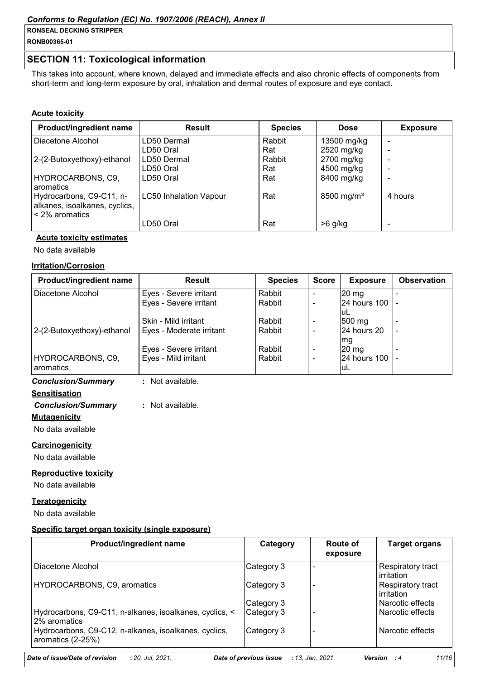**RONB00365-01**

# **SECTION 11: Toxicological information**

This takes into account, where known, delayed and immediate effects and also chronic effects of components from short-term and long-term exposure by oral, inhalation and dermal routes of exposure and eye contact.

### **Acute toxicity**

| Product/ingredient name                                                          | <b>Result</b>                 | <b>Species</b> | <b>Dose</b>            | <b>Exposure</b> |
|----------------------------------------------------------------------------------|-------------------------------|----------------|------------------------|-----------------|
| Diacetone Alcohol                                                                | LD50 Dermal                   | Rabbit         | 13500 mg/kg            |                 |
|                                                                                  | LD50 Oral                     | Rat            | 2520 mg/kg             |                 |
| 2-(2-Butoxyethoxy)-ethanol                                                       | LD50 Dermal                   | Rabbit         | 2700 mg/kg             |                 |
|                                                                                  | LD50 Oral                     | Rat            | 4500 mg/kg             |                 |
| HYDROCARBONS, C9,<br><b>I</b> aromatics                                          | LD50 Oral                     | Rat            | 8400 mg/kg             |                 |
| Hydrocarbons, C9-C11, n-<br>alkanes, isoalkanes, cyclics,<br>$\leq$ 2% aromatics | <b>LC50 Inhalation Vapour</b> | Rat            | 8500 mg/m <sup>3</sup> | 4 hours         |
|                                                                                  | LD50 Oral                     | Rat            | $>6$ g/kg              |                 |

# **Acute toxicity estimates**

No data available

#### **Irritation/Corrosion**

| Product/ingredient name        | <b>Result</b>            | <b>Species</b> | <b>Score</b>             | <b>Exposure</b>          | <b>Observation</b> |
|--------------------------------|--------------------------|----------------|--------------------------|--------------------------|--------------------|
| Diacetone Alcohol              | Eyes - Severe irritant   | Rabbit         |                          | $20 \text{ mg}$          |                    |
|                                | Eyes - Severe irritant   | Rabbit         |                          | 24 hours 100  -<br>luL   |                    |
|                                | Skin - Mild irritant     | Rabbit         | $\overline{\phantom{0}}$ | $ 500 \text{ mg} $       |                    |
| 2-(2-Butoxyethoxy)-ethanol     | Eyes - Moderate irritant | Rabbit         |                          | 24 hours 20<br>mg        |                    |
|                                | Eyes - Severe irritant   | Rabbit         | $\overline{\phantom{a}}$ | $20 \text{ mg}$          |                    |
| HYDROCARBONS, C9,<br>aromatics | Eyes - Mild irritant     | Rabbit         |                          | 124 hours 100 1 -<br>luL |                    |
| <b>Conclusion/Summary</b>      | Not available.           |                |                          |                          |                    |

# **Sensitisation** *Conclusion/Summary* **:** Not available.

**Mutagenicity**

No data available

### **Carcinogenicity**

No data available

### **Reproductive toxicity**

No data available

# **Teratogenicity**

No data available

### **Specific target organ toxicity (single exposure)**

| Product/ingredient name                                                    | Category   | Route of<br>exposure | <b>Target organs</b>            |
|----------------------------------------------------------------------------|------------|----------------------|---------------------------------|
| Diacetone Alcohol                                                          | Category 3 |                      | Respiratory tract<br>irritation |
| HYDROCARBONS, C9, aromatics                                                | Category 3 |                      | Respiratory tract<br>irritation |
|                                                                            | Category 3 |                      | Narcotic effects                |
| Hydrocarbons, C9-C11, n-alkanes, isoalkanes, cyclics, <<br>2% aromatics    | Category 3 |                      | Narcotic effects                |
| Hydrocarbons, C9-C12, n-alkanes, isoalkanes, cyclics,<br>aromatics (2-25%) | Category 3 |                      | Narcotic effects                |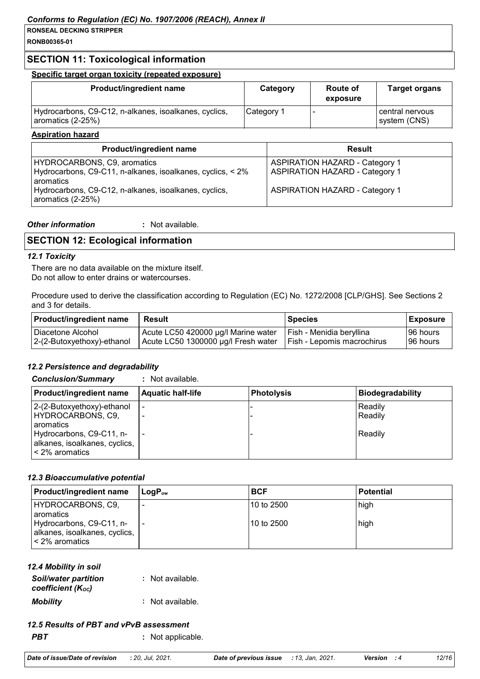**RONB00365-01**

# **SECTION 11: Toxicological information**

### **Specific target organ toxicity (repeated exposure)**

| <b>Product/ingredient name</b>                                             | Category   | <b>Route of</b><br>exposure | <b>Target organs</b>            |
|----------------------------------------------------------------------------|------------|-----------------------------|---------------------------------|
| Hydrocarbons, C9-C12, n-alkanes, isoalkanes, cyclics,<br>aromatics (2-25%) | Category 1 |                             | central nervous<br>system (CNS) |

#### **Aspiration hazard**

| <b>Product/ingredient name</b>                                                                           | <b>Result</b>                                                                  |
|----------------------------------------------------------------------------------------------------------|--------------------------------------------------------------------------------|
| HYDROCARBONS, C9, aromatics<br>Hydrocarbons, C9-C11, n-alkanes, isoalkanes, cyclics, < 2%<br>l aromatics | <b>ASPIRATION HAZARD - Category 1</b><br><b>ASPIRATION HAZARD - Category 1</b> |
| Hydrocarbons, C9-C12, n-alkanes, isoalkanes, cyclics,<br>aromatics (2-25%)                               | <b>ASPIRATION HAZARD - Category 1</b>                                          |

| <b>Other information</b> | · Not available. |
|--------------------------|------------------|
|                          |                  |

# **SECTION 12: Ecological information**

#### *12.1 Toxicity*

There are no data available on the mixture itself. Do not allow to enter drains or watercourses.

Procedure used to derive the classification according to Regulation (EC) No. 1272/2008 [CLP/GHS]. See Sections 2 and 3 for details.

| <b>Product/ingredient name</b>                  | <b>Result</b>                                                                                           | l Species                | Exposure              |
|-------------------------------------------------|---------------------------------------------------------------------------------------------------------|--------------------------|-----------------------|
| Diacetone Alcohol<br>2-(2-Butoxyethoxy)-ethanol | Acute LC50 420000 µg/l Marine water<br>Acute LC50 1300000 µg/l Fresh water   Fish - Lepomis macrochirus | Fish - Menidia beryllina | 96 hours<br>196 hours |
|                                                 |                                                                                                         |                          |                       |

# *12.2 Persistence and degradability*

*Conclusion/Summary* **:** Not available.

| Product/ingredient name                                                     | <b>Aquatic half-life</b> | <b>Photolysis</b> | Biodegradability          |
|-----------------------------------------------------------------------------|--------------------------|-------------------|---------------------------|
| 2-(2-Butoxyethoxy)-ethanol<br>HYDROCARBONS, C9,<br>l aromatics              |                          |                   | Readily<br><b>Readily</b> |
| Hydrocarbons, C9-C11, n-<br>alkanes, isoalkanes, cyclics,<br>< 2% aromatics |                          |                   | <b>Readily</b>            |

### *12.3 Bioaccumulative potential*

| <b>Product/ingredient name</b>                                                                                    | l LoɑP <sub>∾</sub>      | <b>BCF</b>                 | <b>Potential</b> |
|-------------------------------------------------------------------------------------------------------------------|--------------------------|----------------------------|------------------|
| HYDROCARBONS, C9,<br>l aromatics<br>Hydrocarbons, C9-C11, n-<br>alkanes, isoalkanes, cyclics,<br>l < 2% aromatics | $\overline{\phantom{a}}$ | l10 to 2500<br>l10 to 2500 | high<br>high     |

# *12.4 Mobility in soil*

| <b>Soil/water partition</b><br>coefficient (K <sub>oc</sub> ) | : Not available. |
|---------------------------------------------------------------|------------------|
| <b>Mobility</b>                                               | : Not available. |

# *12.5 Results of PBT and vPvB assessment*

*PBT* **:** Not applicable.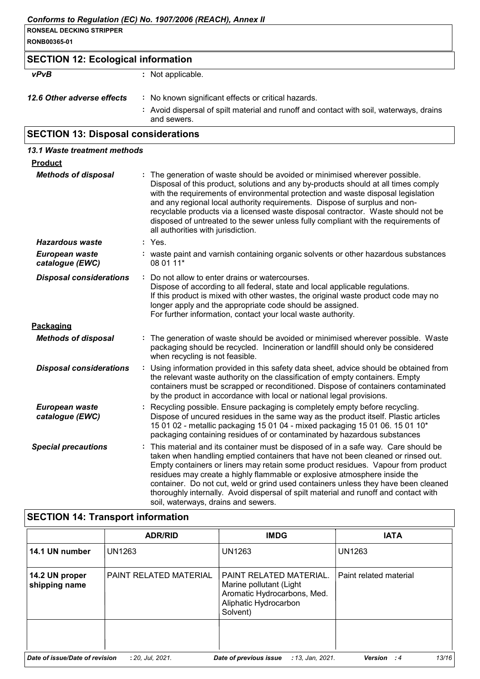| <b>RONSEAL DECKING STRIPPER</b>           |                   |
|-------------------------------------------|-------------------|
| RONB00365-01                              |                   |
| <b>SECTION 12: Ecological information</b> |                   |
| vPvB                                      | : Not applicable. |

| 12.6 Other adverse effects | : No known significant effects or critical hazards. |  |
|----------------------------|-----------------------------------------------------|--|
|                            |                                                     |  |

**:** Avoid dispersal of spilt material and runoff and contact with soil, waterways, drains and sewers.

# **SECTION 13: Disposal considerations**

| 13.1 Waste treatment methods      |                                                                                                                                                                                                                                                                                                                                                                                                                                                                                                                                                             |  |
|-----------------------------------|-------------------------------------------------------------------------------------------------------------------------------------------------------------------------------------------------------------------------------------------------------------------------------------------------------------------------------------------------------------------------------------------------------------------------------------------------------------------------------------------------------------------------------------------------------------|--|
| <b>Product</b>                    |                                                                                                                                                                                                                                                                                                                                                                                                                                                                                                                                                             |  |
| <b>Methods of disposal</b>        | : The generation of waste should be avoided or minimised wherever possible.<br>Disposal of this product, solutions and any by-products should at all times comply<br>with the requirements of environmental protection and waste disposal legislation<br>and any regional local authority requirements. Dispose of surplus and non-<br>recyclable products via a licensed waste disposal contractor. Waste should not be<br>disposed of untreated to the sewer unless fully compliant with the requirements of<br>all authorities with jurisdiction.        |  |
| <b>Hazardous waste</b>            | : Yes.                                                                                                                                                                                                                                                                                                                                                                                                                                                                                                                                                      |  |
| European waste<br>catalogue (EWC) | : waste paint and varnish containing organic solvents or other hazardous substances<br>08 01 11*                                                                                                                                                                                                                                                                                                                                                                                                                                                            |  |
| <b>Disposal considerations</b>    | Do not allow to enter drains or watercourses.<br>Dispose of according to all federal, state and local applicable regulations.<br>If this product is mixed with other wastes, the original waste product code may no<br>longer apply and the appropriate code should be assigned.<br>For further information, contact your local waste authority.                                                                                                                                                                                                            |  |
| Packaging                         |                                                                                                                                                                                                                                                                                                                                                                                                                                                                                                                                                             |  |
| <b>Methods of disposal</b>        | : The generation of waste should be avoided or minimised wherever possible. Waste<br>packaging should be recycled. Incineration or landfill should only be considered<br>when recycling is not feasible.                                                                                                                                                                                                                                                                                                                                                    |  |
| <b>Disposal considerations</b>    | Using information provided in this safety data sheet, advice should be obtained from<br>the relevant waste authority on the classification of empty containers. Empty<br>containers must be scrapped or reconditioned. Dispose of containers contaminated<br>by the product in accordance with local or national legal provisions.                                                                                                                                                                                                                          |  |
| European waste<br>catalogue (EWC) | : Recycling possible. Ensure packaging is completely empty before recycling.<br>Dispose of uncured residues in the same way as the product itself. Plastic articles<br>15 01 02 - metallic packaging 15 01 04 - mixed packaging 15 01 06. 15 01 10*<br>packaging containing residues of or contaminated by hazardous substances                                                                                                                                                                                                                             |  |
| <b>Special precautions</b>        | This material and its container must be disposed of in a safe way. Care should be<br>taken when handling emptied containers that have not been cleaned or rinsed out.<br>Empty containers or liners may retain some product residues. Vapour from product<br>residues may create a highly flammable or explosive atmosphere inside the<br>container. Do not cut, weld or grind used containers unless they have been cleaned<br>thoroughly internally. Avoid dispersal of spilt material and runoff and contact with<br>soil, waterways, drains and sewers. |  |

# **SECTION 14: Transport information**

|                                 | <b>ADR/RID</b>         | <b>IMDG</b>                                                                                                                   | <b>IATA</b>            |
|---------------------------------|------------------------|-------------------------------------------------------------------------------------------------------------------------------|------------------------|
| 14.1 UN number                  | UN1263                 | <b>UN1263</b>                                                                                                                 | <b>UN1263</b>          |
| 14.2 UN proper<br>shipping name | PAINT RELATED MATERIAL | <b>PAINT RELATED MATERIAL.</b><br>Marine pollutant (Light<br>Aromatic Hydrocarbons, Med.<br>Aliphatic Hydrocarbon<br>Solvent) | Paint related material |
| Date of issue/Date of revision  | : 20, Jul, 2021.       | Date of previous issue<br>: 13, Jan, 2021.                                                                                    | 13/16<br>Version<br>:4 |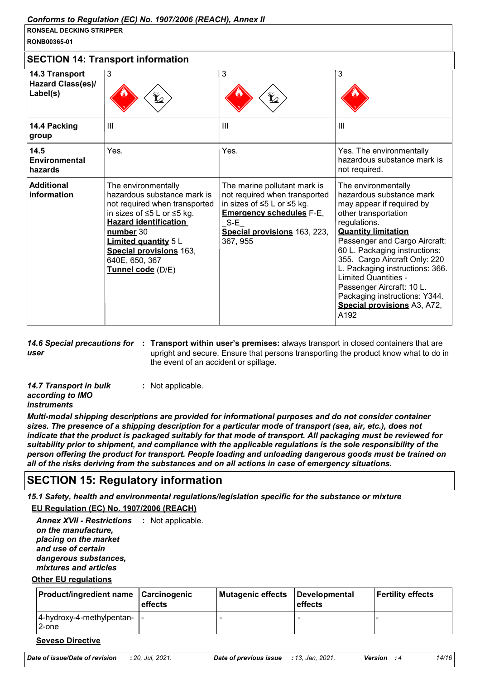**RONB00365-01**

| <b>SECTION 14: Transport information</b>               |                                                                                                                                                                                                                                                                        |                                                                                                                                                                                     |                                                                                                                                                                                                                                                                                                                                                                                                                              |
|--------------------------------------------------------|------------------------------------------------------------------------------------------------------------------------------------------------------------------------------------------------------------------------------------------------------------------------|-------------------------------------------------------------------------------------------------------------------------------------------------------------------------------------|------------------------------------------------------------------------------------------------------------------------------------------------------------------------------------------------------------------------------------------------------------------------------------------------------------------------------------------------------------------------------------------------------------------------------|
| 14.3 Transport<br><b>Hazard Class(es)/</b><br>Label(s) | 3<br>芒                                                                                                                                                                                                                                                                 | 3<br>$\mathbf{Y}_{2}$                                                                                                                                                               | 3                                                                                                                                                                                                                                                                                                                                                                                                                            |
| 14.4 Packing<br>group                                  | III                                                                                                                                                                                                                                                                    | $\mathbf{III}$                                                                                                                                                                      | $\mathbf{III}$                                                                                                                                                                                                                                                                                                                                                                                                               |
| 14.5<br>Environmental<br>hazards                       | Yes.                                                                                                                                                                                                                                                                   | Yes.                                                                                                                                                                                | Yes. The environmentally<br>hazardous substance mark is<br>not required.                                                                                                                                                                                                                                                                                                                                                     |
| <b>Additional</b><br>information                       | The environmentally<br>hazardous substance mark is<br>not required when transported<br>in sizes of ≤5 L or ≤5 kg.<br><b>Hazard identification</b><br>number 30<br><b>Limited quantity 5 L</b><br><b>Special provisions 163,</b><br>640E, 650, 367<br>Tunnel code (D/E) | The marine pollutant mark is<br>not required when transported<br>in sizes of ≤5 L or ≤5 kg.<br><b>Emergency schedules F-E,</b><br>$S-E$<br>Special provisions 163, 223,<br>367, 955 | The environmentally<br>hazardous substance mark<br>may appear if required by<br>other transportation<br>regulations.<br><b>Quantity limitation</b><br>Passenger and Cargo Aircraft:<br>60 L. Packaging instructions:<br>355. Cargo Aircraft Only: 220<br>L. Packaging instructions: 366.<br><b>Limited Quantities -</b><br>Passenger Aircraft: 10 L.<br>Packaging instructions: Y344.<br>Special provisions A3, A72,<br>A192 |

*user*

14.6 Special precautions for : Transport within user's premises: always transport in closed containers that are upright and secure. Ensure that persons transporting the product know what to do in the event of an accident or spillage.

| 14.7 Transport in bulk | : Not applicable. |
|------------------------|-------------------|
| according to IMO       |                   |
| instruments            |                   |

*Multi-modal shipping descriptions are provided for informational purposes and do not consider container sizes. The presence of a shipping description for a particular mode of transport (sea, air, etc.), does not indicate that the product is packaged suitably for that mode of transport. All packaging must be reviewed for suitability prior to shipment, and compliance with the applicable regulations is the sole responsibility of the person offering the product for transport. People loading and unloading dangerous goods must be trained on all of the risks deriving from the substances and on all actions in case of emergency situations.*

# **SECTION 15: Regulatory information**

*15.1 Safety, health and environmental regulations/legislation specific for the substance or mixture*

**EU Regulation (EC) No. 1907/2006 (REACH)**

Annex XVII - Restrictions : Not applicable. *on the manufacture, placing on the market and use of certain dangerous substances, mixtures and articles*

**Other EU regulations**

| <b>Product/ingredient name Carcinogenic</b>  | effects | Mutagenic effects | Developmental<br>effects | <b>Fertility effects</b> |
|----------------------------------------------|---------|-------------------|--------------------------|--------------------------|
| $ 4$ -hydroxy-4-methylpentan- $ $ -<br>2-one |         |                   |                          |                          |

#### **Seveso Directive**

| Date of issue/Date of revision | : 20, Jul, 2021. |
|--------------------------------|------------------|
|--------------------------------|------------------|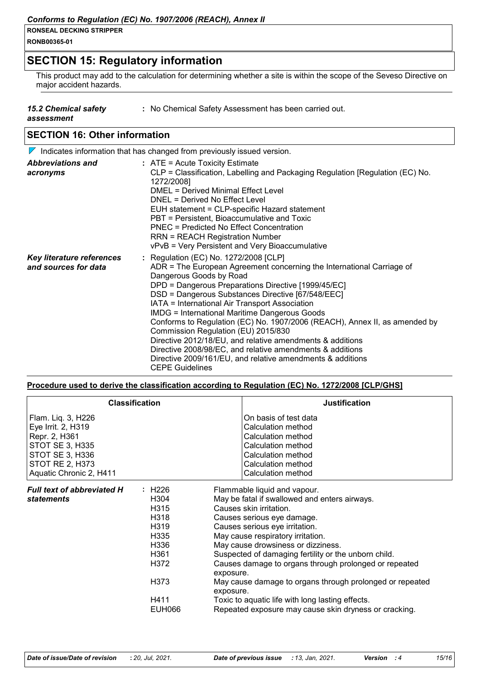**RONB00365-01**

# **SECTION 15: Regulatory information**

This product may add to the calculation for determining whether a site is within the scope of the Seveso Directive on major accident hazards.

- *15.2 Chemical safety*
- **:** No Chemical Safety Assessment has been carried out.

*assessment*

# **SECTION 16: Other information**

|                                                   | $\nabla$ Indicates information that has changed from previously issued version.                                                                                                                                                                                                                                                                                                                                                                                                                                                                                                                                                                                                                        |
|---------------------------------------------------|--------------------------------------------------------------------------------------------------------------------------------------------------------------------------------------------------------------------------------------------------------------------------------------------------------------------------------------------------------------------------------------------------------------------------------------------------------------------------------------------------------------------------------------------------------------------------------------------------------------------------------------------------------------------------------------------------------|
| <b>Abbreviations and</b><br>acronyms              | $:$ ATE = Acute Toxicity Estimate<br>CLP = Classification, Labelling and Packaging Regulation [Regulation (EC) No.<br>1272/2008]<br>DMEL = Derived Minimal Effect Level<br>DNEL = Derived No Effect Level<br>EUH statement = CLP-specific Hazard statement<br>PBT = Persistent, Bioaccumulative and Toxic<br><b>PNEC = Predicted No Effect Concentration</b><br><b>RRN = REACH Registration Number</b><br>vPvB = Very Persistent and Very Bioaccumulative                                                                                                                                                                                                                                              |
| Key literature references<br>and sources for data | : Regulation (EC) No. 1272/2008 [CLP]<br>ADR = The European Agreement concerning the International Carriage of<br>Dangerous Goods by Road<br>DPD = Dangerous Preparations Directive [1999/45/EC]<br>DSD = Dangerous Substances Directive [67/548/EEC]<br>IATA = International Air Transport Association<br><b>IMDG = International Maritime Dangerous Goods</b><br>Conforms to Regulation (EC) No. 1907/2006 (REACH), Annex II, as amended by<br>Commission Regulation (EU) 2015/830<br>Directive 2012/18/EU, and relative amendments & additions<br>Directive 2008/98/EC, and relative amendments & additions<br>Directive 2009/161/EU, and relative amendments & additions<br><b>CEPE Guidelines</b> |

#### **Procedure used to derive the classification according to Regulation (EC) No. 1272/2008 [CLP/GHS]**

| <b>Classification</b>                                                                                                                                                              |                        | <b>Justification</b>                                                                                                                                                                                                                                                                                                                                                                                                                                                                                                                          |
|------------------------------------------------------------------------------------------------------------------------------------------------------------------------------------|------------------------|-----------------------------------------------------------------------------------------------------------------------------------------------------------------------------------------------------------------------------------------------------------------------------------------------------------------------------------------------------------------------------------------------------------------------------------------------------------------------------------------------------------------------------------------------|
| Flam. Liq. 3, H226<br>Eye Irrit. 2, H319<br>Repr. 2, H361<br>STOT SE 3, H335<br>STOT SE 3, H336<br><b>STOT RE 2, H373</b><br>Aquatic Chronic 2, H411                               |                        | On basis of test data<br><b>Calculation method</b><br>Calculation method<br>Calculation method<br>Calculation method<br>Calculation method<br>Calculation method                                                                                                                                                                                                                                                                                                                                                                              |
| <b>Full text of abbreviated H</b><br>H226<br>H304<br><b>statements</b><br>H <sub>3</sub> 15<br>H318<br>H <sub>3</sub> 19<br>H335<br>H336<br>H361<br>H372<br>H373<br>H411<br>EUH066 | exposure.<br>exposure. | Flammable liquid and vapour.<br>May be fatal if swallowed and enters airways.<br>Causes skin irritation.<br>Causes serious eye damage.<br>Causes serious eye irritation.<br>May cause respiratory irritation.<br>May cause drowsiness or dizziness.<br>Suspected of damaging fertility or the unborn child.<br>Causes damage to organs through prolonged or repeated<br>May cause damage to organs through prolonged or repeated<br>Toxic to aquatic life with long lasting effects.<br>Repeated exposure may cause skin dryness or cracking. |